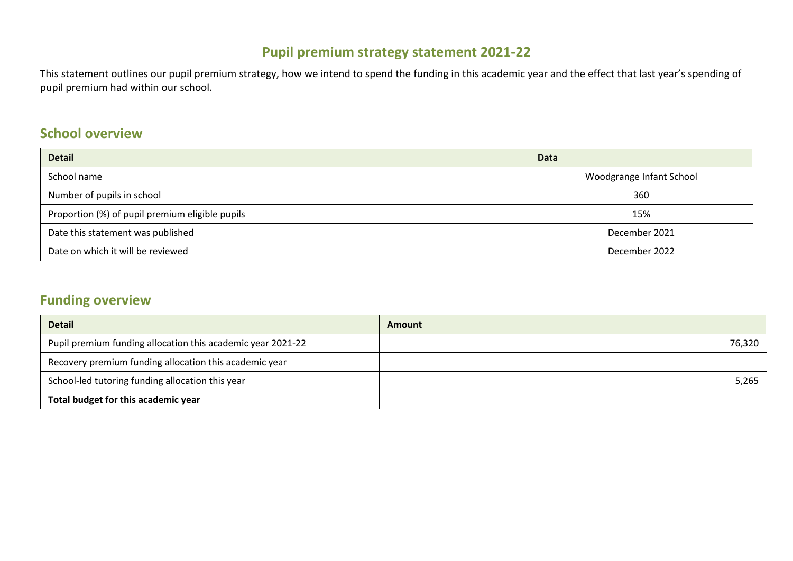# **Pupil premium strategy statement 2021-22**

This statement outlines our pupil premium strategy, how we intend to spend the funding in this academic year and the effect that last year's spending of pupil premium had within our school.

## **School overview**

| <b>Detail</b>                                   | <b>Data</b>              |
|-------------------------------------------------|--------------------------|
| School name                                     | Woodgrange Infant School |
| Number of pupils in school                      | 360                      |
| Proportion (%) of pupil premium eligible pupils | 15%                      |
| Date this statement was published               | December 2021            |
| Date on which it will be reviewed               | December 2022            |

# **Funding overview**

| <b>Detail</b>                                               | Amount |
|-------------------------------------------------------------|--------|
| Pupil premium funding allocation this academic year 2021-22 | 76,320 |
| Recovery premium funding allocation this academic year      |        |
| School-led tutoring funding allocation this year            | 5,265  |
| Total budget for this academic year                         |        |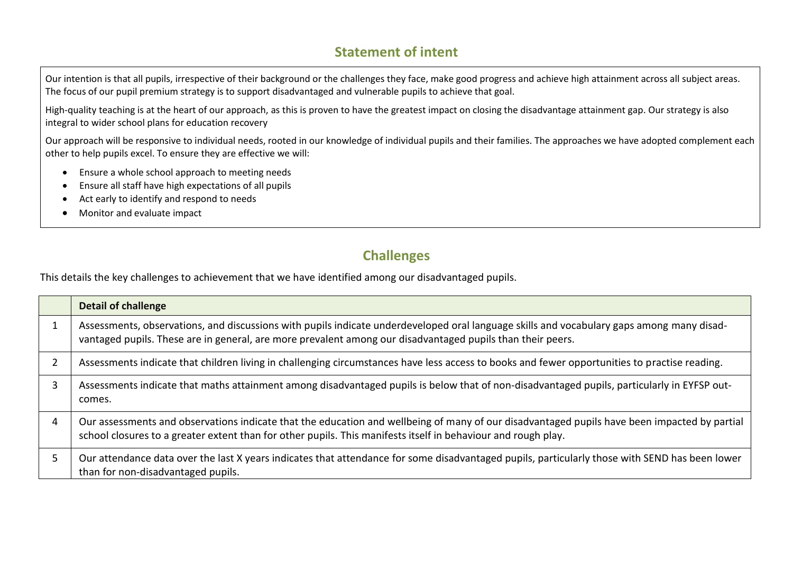# **Statement of intent**

Our intention is that all pupils, irrespective of their background or the challenges they face, make good progress and achieve high attainment across all subject areas. The focus of our pupil premium strategy is to support disadvantaged and vulnerable pupils to achieve that goal.

High-quality teaching is at the heart of our approach, as this is proven to have the greatest impact on closing the disadvantage attainment gap. Our strategy is also integral to wider school plans for education recovery

Our approach will be responsive to individual needs, rooted in our knowledge of individual pupils and their families. The approaches we have adopted complement each other to help pupils excel. To ensure they are effective we will:

- Ensure a whole school approach to meeting needs
- Ensure all staff have high expectations of all pupils
- Act early to identify and respond to needs
- Monitor and evaluate impact

## **Challenges**

This details the key challenges to achievement that we have identified among our disadvantaged pupils.

|                | <b>Detail of challenge</b>                                                                                                                                                                                                                                    |
|----------------|---------------------------------------------------------------------------------------------------------------------------------------------------------------------------------------------------------------------------------------------------------------|
|                | Assessments, observations, and discussions with pupils indicate underdeveloped oral language skills and vocabulary gaps among many disad-<br>vantaged pupils. These are in general, are more prevalent among our disadvantaged pupils than their peers.       |
| $\overline{2}$ | Assessments indicate that children living in challenging circumstances have less access to books and fewer opportunities to practise reading.                                                                                                                 |
| 3              | Assessments indicate that maths attainment among disadvantaged pupils is below that of non-disadvantaged pupils, particularly in EYFSP out-<br>comes.                                                                                                         |
| 4              | Our assessments and observations indicate that the education and wellbeing of many of our disadvantaged pupils have been impacted by partial<br>school closures to a greater extent than for other pupils. This manifests itself in behaviour and rough play. |
| 5.             | Our attendance data over the last X years indicates that attendance for some disadvantaged pupils, particularly those with SEND has been lower<br>than for non-disadvantaged pupils.                                                                          |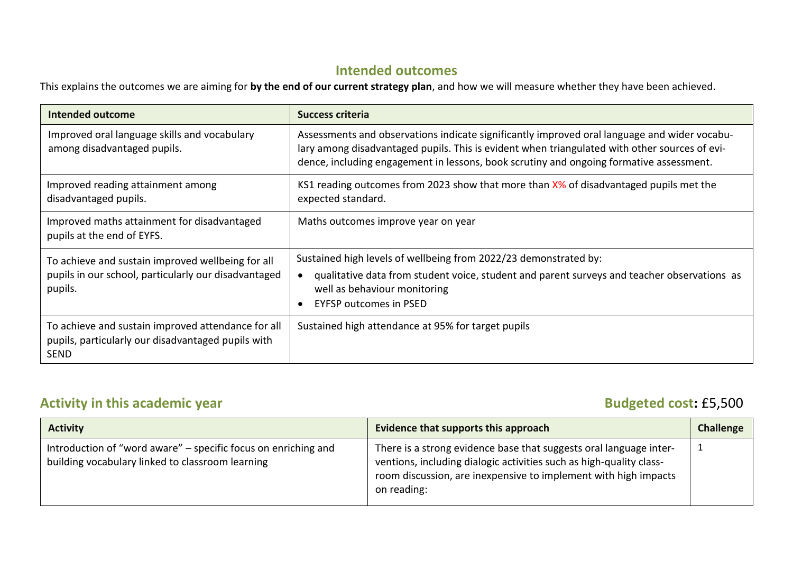## **Intended outcomes**

This explains the outcomes we are aiming for **by the end of our current strategy plan**, and how we will measure whether they have been achieved.

| <b>Intended outcome</b>                                                                                                 | <b>Success criteria</b>                                                                                                                                                                                                                                                                  |
|-------------------------------------------------------------------------------------------------------------------------|------------------------------------------------------------------------------------------------------------------------------------------------------------------------------------------------------------------------------------------------------------------------------------------|
| Improved oral language skills and vocabulary<br>among disadvantaged pupils.                                             | Assessments and observations indicate significantly improved oral language and wider vocabu-<br>lary among disadvantaged pupils. This is evident when triangulated with other sources of evi-<br>dence, including engagement in lessons, book scrutiny and ongoing formative assessment. |
| Improved reading attainment among<br>disadvantaged pupils.                                                              | KS1 reading outcomes from 2023 show that more than X% of disadvantaged pupils met the<br>expected standard.                                                                                                                                                                              |
| Improved maths attainment for disadvantaged<br>pupils at the end of EYFS.                                               | Maths outcomes improve year on year                                                                                                                                                                                                                                                      |
| To achieve and sustain improved wellbeing for all                                                                       | Sustained high levels of wellbeing from 2022/23 demonstrated by:                                                                                                                                                                                                                         |
| pupils in our school, particularly our disadvantaged<br>pupils.                                                         | qualitative data from student voice, student and parent surveys and teacher observations as<br>well as behaviour monitoring<br><b>EYFSP outcomes in PSED</b>                                                                                                                             |
| To achieve and sustain improved attendance for all<br>pupils, particularly our disadvantaged pupils with<br><b>SEND</b> | Sustained high attendance at 95% for target pupils                                                                                                                                                                                                                                       |

# **Activity in this academic year distribution of the set of the set of the Budgeted cost:** £5,500

| <b>Activity</b>                                                                                                    | Evidence that supports this approach                                                                                                                                                                                        | <b>Challenge</b> |
|--------------------------------------------------------------------------------------------------------------------|-----------------------------------------------------------------------------------------------------------------------------------------------------------------------------------------------------------------------------|------------------|
| Introduction of "word aware" - specific focus on enriching and<br>building vocabulary linked to classroom learning | There is a strong evidence base that suggests oral language inter-<br>ventions, including dialogic activities such as high-quality class-<br>room discussion, are inexpensive to implement with high impacts<br>on reading: |                  |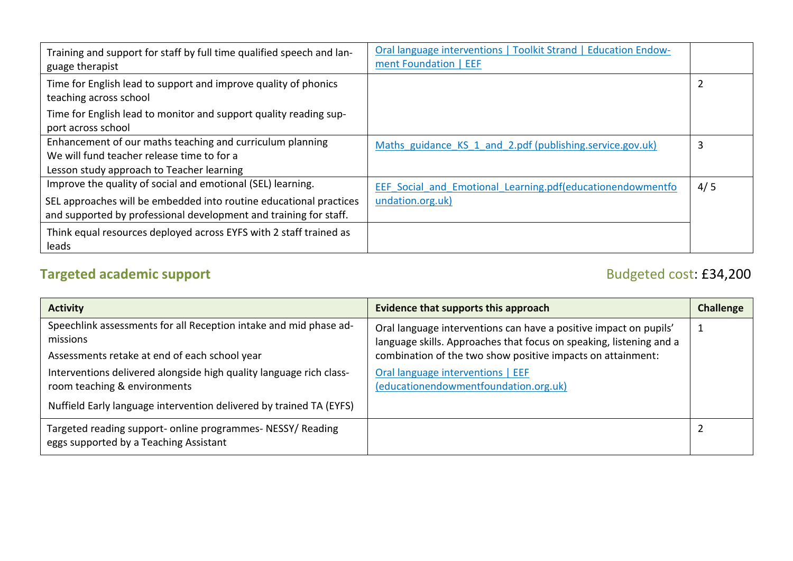| Training and support for staff by full time qualified speech and lan-<br>guage therapist  | Oral language interventions   Toolkit Strand   Education Endow-<br>ment Foundation   EEF |     |
|-------------------------------------------------------------------------------------------|------------------------------------------------------------------------------------------|-----|
| Time for English lead to support and improve quality of phonics<br>teaching across school |                                                                                          |     |
| Time for English lead to monitor and support quality reading sup-<br>port across school   |                                                                                          |     |
| Enhancement of our maths teaching and curriculum planning                                 | Maths guidance KS 1 and 2.pdf (publishing.service.gov.uk)                                | 3   |
| We will fund teacher release time to for a                                                |                                                                                          |     |
| Lesson study approach to Teacher learning                                                 |                                                                                          |     |
| Improve the quality of social and emotional (SEL) learning.                               | EEF Social and Emotional Learning.pdf(educationendowmentfo                               | 4/5 |
| SEL approaches will be embedded into routine educational practices                        | undation.org.uk)                                                                         |     |
| and supported by professional development and training for staff.                         |                                                                                          |     |
| Think equal resources deployed across EYFS with 2 staff trained as<br>leads               |                                                                                          |     |

# **Targeted academic support** Budgeted cost: £34,200

| <b>Activity</b>                                                                                                                                      | Evidence that supports this approach                                                                                                      | <b>Challenge</b> |
|------------------------------------------------------------------------------------------------------------------------------------------------------|-------------------------------------------------------------------------------------------------------------------------------------------|------------------|
| Speechlink assessments for all Reception intake and mid phase ad-<br>missions                                                                        | Oral language interventions can have a positive impact on pupils'<br>language skills. Approaches that focus on speaking, listening and a  |                  |
| Assessments retake at end of each school year<br>Interventions delivered alongside high quality language rich class-<br>room teaching & environments | combination of the two show positive impacts on attainment:<br>Oral language interventions   EEF<br>(educationendowmentfoundation.org.uk) |                  |
| Nuffield Early language intervention delivered by trained TA (EYFS)                                                                                  |                                                                                                                                           |                  |
| Targeted reading support- online programmes- NESSY/ Reading<br>eggs supported by a Teaching Assistant                                                |                                                                                                                                           |                  |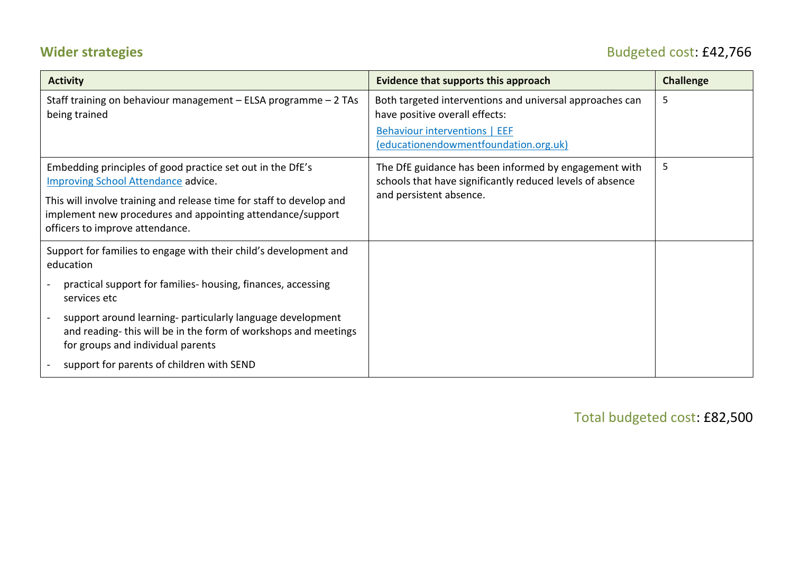# **Wider strategies** Budgeted cost: £42,766

| <b>Activity</b>                                                                                                                                                                                                                                                                   | Evidence that supports this approach                                                                                                                                 | <b>Challenge</b> |
|-----------------------------------------------------------------------------------------------------------------------------------------------------------------------------------------------------------------------------------------------------------------------------------|----------------------------------------------------------------------------------------------------------------------------------------------------------------------|------------------|
| Staff training on behaviour management - ELSA programme - 2 TAs<br>being trained                                                                                                                                                                                                  | Both targeted interventions and universal approaches can<br>have positive overall effects:<br>Behaviour interventions   EEF<br>(educationendowmentfoundation.org.uk) | 5                |
| Embedding principles of good practice set out in the DfE's<br><b>Improving School Attendance advice.</b><br>This will involve training and release time for staff to develop and<br>implement new procedures and appointing attendance/support<br>officers to improve attendance. | The DfE guidance has been informed by engagement with<br>schools that have significantly reduced levels of absence<br>and persistent absence.                        | 5                |
| Support for families to engage with their child's development and<br>education                                                                                                                                                                                                    |                                                                                                                                                                      |                  |
| practical support for families- housing, finances, accessing<br>services etc                                                                                                                                                                                                      |                                                                                                                                                                      |                  |
| support around learning- particularly language development<br>$\blacksquare$<br>and reading-this will be in the form of workshops and meetings<br>for groups and individual parents                                                                                               |                                                                                                                                                                      |                  |
| support for parents of children with SEND                                                                                                                                                                                                                                         |                                                                                                                                                                      |                  |

Total budgeted cost: £82,500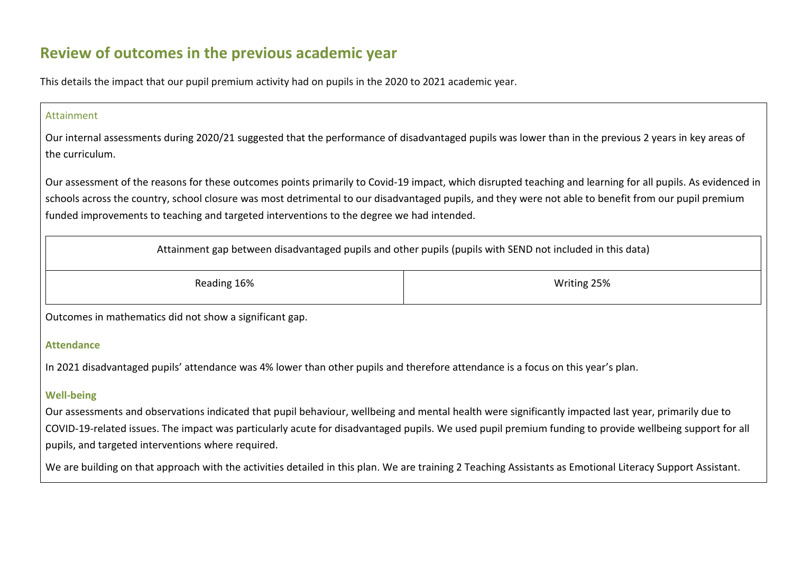# **Review of outcomes in the previous academic year**

This details the impact that our pupil premium activity had on pupils in the 2020 to 2021 academic year.

### Attainment

Our internal assessments during 2020/21 suggested that the performance of disadvantaged pupils was lower than in the previous 2 years in key areas of the curriculum.

Our assessment of the reasons for these outcomes points primarily to Covid-19 impact, which disrupted teaching and learning for all pupils. As evidenced in schools across the country, school closure was most detrimental to our disadvantaged pupils, and they were not able to benefit from our pupil premium funded improvements to teaching and targeted interventions to the degree we had intended.

Attainment gap between disadvantaged pupils and other pupils (pupils with SEND not included in this data)

| Reading 16% | Writing 25% |
|-------------|-------------|
|             |             |

Outcomes in mathematics did not show a significant gap.

### **Attendance**

In 2021 disadvantaged pupils' attendance was 4% lower than other pupils and therefore attendance is a focus on this year's plan.

## **Well-being**

Our assessments and observations indicated that pupil behaviour, wellbeing and mental health were significantly impacted last year, primarily due to COVID-19-related issues. The impact was particularly acute for disadvantaged pupils. We used pupil premium funding to provide wellbeing support for all pupils, and targeted interventions where required.

We are building on that approach with the activities detailed in this plan. We are training 2 Teaching Assistants as Emotional Literacy Support Assistant.